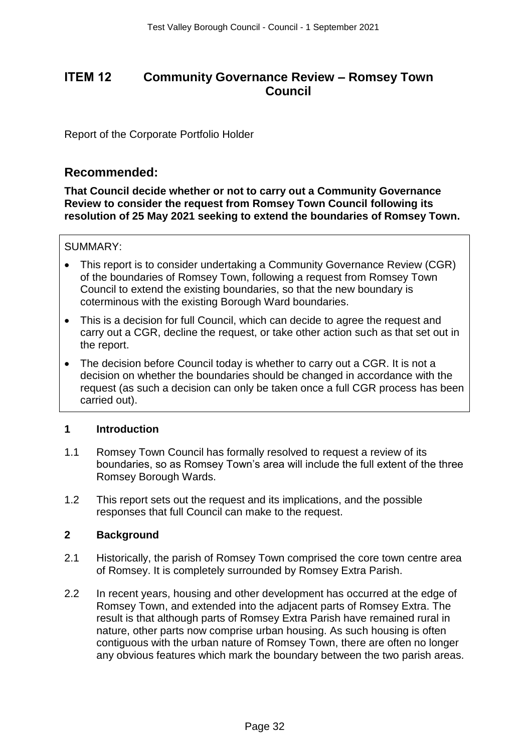# **Community Governance Review – Romsey Town Council**

Report of the Corporate Portfolio Holder

# **Recommended:**

**That Council decide whether or not to carry out a Community Governance Review to consider the request from Romsey Town Council following its resolution of 25 May 2021 seeking to extend the boundaries of Romsey Town.**

# SUMMARY:

- This report is to consider undertaking a Community Governance Review (CGR) of the boundaries of Romsey Town, following a request from Romsey Town Council to extend the existing boundaries, so that the new boundary is coterminous with the existing Borough Ward boundaries.
- This is a decision for full Council, which can decide to agree the request and carry out a CGR, decline the request, or take other action such as that set out in the report.
- The decision before Council today is whether to carry out a CGR. It is not a decision on whether the boundaries should be changed in accordance with the request (as such a decision can only be taken once a full CGR process has been carried out).

### **1 Introduction**

- 1.1 Romsey Town Council has formally resolved to request a review of its boundaries, so as Romsey Town's area will include the full extent of the three Romsey Borough Wards.
- 1.2 This report sets out the request and its implications, and the possible responses that full Council can make to the request.

### **2 Background**

- 2.1 Historically, the parish of Romsey Town comprised the core town centre area of Romsey. It is completely surrounded by Romsey Extra Parish.
- 2.2 In recent years, housing and other development has occurred at the edge of Romsey Town, and extended into the adjacent parts of Romsey Extra. The result is that although parts of Romsey Extra Parish have remained rural in nature, other parts now comprise urban housing. As such housing is often contiguous with the urban nature of Romsey Town, there are often no longer any obvious features which mark the boundary between the two parish areas. TEM 12 **Community Governance**<br>
Col<br>
Col<br>
Report of the Corporate Portfolio Holder<br>
Recommended:<br>
That Council decide whether or not to carry<br>
Review to consider the request from Roms<br>
resolution of 25 May 2021 seeking to e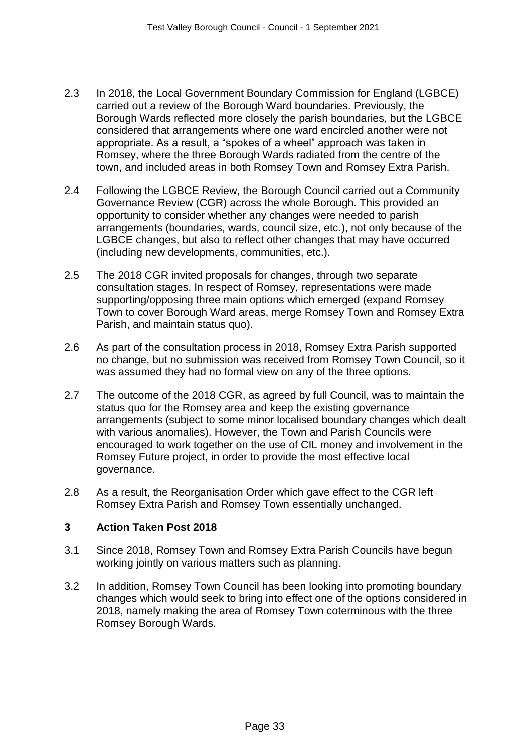- 2.3 In 2018, the Local Government Boundary Commission for England (LGBCE) carried out a review of the Borough Ward boundaries. Previously, the Borough Wards reflected more closely the parish boundaries, but the LGBCE considered that arrangements where one ward encircled another were not appropriate. As a result, a "spokes of a wheel" approach was taken in Romsey, where the three Borough Wards radiated from the centre of the town, and included areas in both Romsey Town and Romsey Extra Parish.
- 2.4 Following the LGBCE Review, the Borough Council carried out a Community Governance Review (CGR) across the whole Borough. This provided an opportunity to consider whether any changes were needed to parish arrangements (boundaries, wards, council size, etc.), not only because of the LGBCE changes, but also to reflect other changes that may have occurred (including new developments, communities, etc.).
- 2.5 The 2018 CGR invited proposals for changes, through two separate consultation stages. In respect of Romsey, representations were made supporting/opposing three main options which emerged (expand Romsey Town to cover Borough Ward areas, merge Romsey Town and Romsey Extra Parish, and maintain status quo).
- 2.6 As part of the consultation process in 2018, Romsey Extra Parish supported no change, but no submission was received from Romsey Town Council, so it was assumed they had no formal view on any of the three options.
- 2.7 The outcome of the 2018 CGR, as agreed by full Council, was to maintain the status quo for the Romsey area and keep the existing governance arrangements (subject to some minor localised boundary changes which dealt with various anomalies). However, the Town and Parish Councils were encouraged to work together on the use of CIL money and involvement in the Romsey Future project, in order to provide the most effective local governance.
- 2.8 As a result, the Reorganisation Order which gave effect to the CGR left Romsey Extra Parish and Romsey Town essentially unchanged.

# **3 Action Taken Post 2018**

- 3.1 Since 2018, Romsey Town and Romsey Extra Parish Councils have begun working jointly on various matters such as planning.
- 3.2 In addition, Romsey Town Council has been looking into promoting boundary changes which would seek to bring into effect one of the options considered in 2018, namely making the area of Romsey Town coterminous with the three Romsey Borough Wards.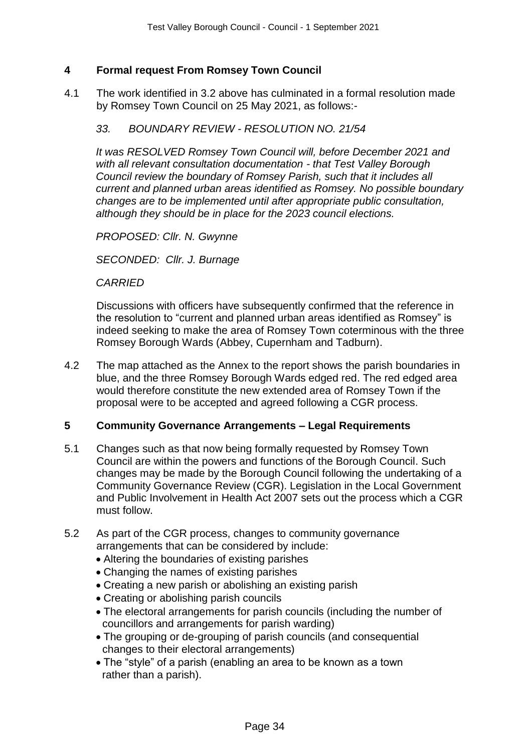# **4 Formal request From Romsey Town Council**

4.1 The work identified in 3.2 above has culminated in a formal resolution made by Romsey Town Council on 25 May 2021, as follows:-

#### *33. BOUNDARY REVIEW - RESOLUTION NO. 21/54*

*It was RESOLVED Romsey Town Council will, before December 2021 and with all relevant consultation documentation - that Test Valley Borough Council review the boundary of Romsey Parish, such that it includes all current and planned urban areas identified as Romsey. No possible boundary changes are to be implemented until after appropriate public consultation, although they should be in place for the 2023 council elections.*

*PROPOSED: Cllr. N. Gwynne*

*SECONDED: Cllr. J. Burnage*

*CARRIED*

Discussions with officers have subsequently confirmed that the reference in the resolution to "current and planned urban areas identified as Romsey" is indeed seeking to make the area of Romsey Town coterminous with the three Romsey Borough Wards (Abbey, Cupernham and Tadburn).

4.2 The map attached as the Annex to the report shows the parish boundaries in blue, and the three Romsey Borough Wards edged red. The red edged area would therefore constitute the new extended area of Romsey Town if the proposal were to be accepted and agreed following a CGR process.

### **5 Community Governance Arrangements – Legal Requirements**

- 5.1 Changes such as that now being formally requested by Romsey Town Council are within the powers and functions of the Borough Council. Such changes may be made by the Borough Council following the undertaking of a Community Governance Review (CGR). Legislation in the Local Government and Public Involvement in Health Act 2007 sets out the process which a CGR must follow.
- 5.2 As part of the CGR process, changes to community governance arrangements that can be considered by include:
	- Altering the boundaries of existing parishes
	- Changing the names of existing parishes
	- Creating a new parish or abolishing an existing parish
	- Creating or abolishing parish councils
	- The electoral arrangements for parish councils (including the number of councillors and arrangements for parish warding)
	- The grouping or de-grouping of parish councils (and consequential changes to their electoral arrangements)
	- The "style" of a parish (enabling an area to be known as a town rather than a parish).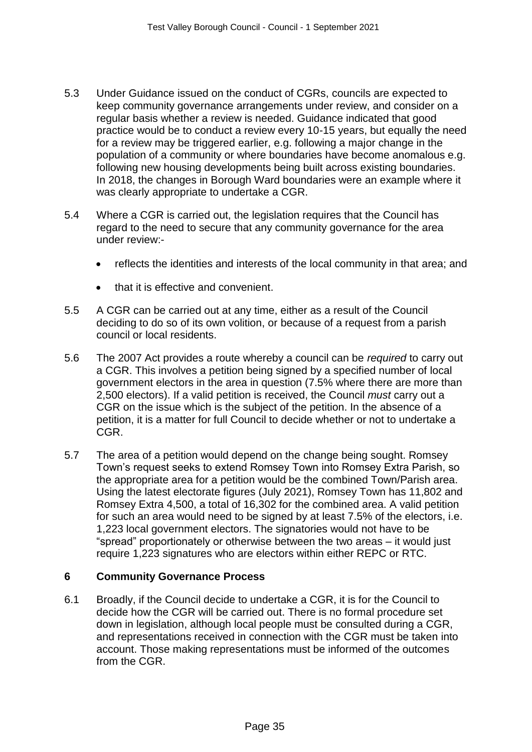- 5.3 Under Guidance issued on the conduct of CGRs, councils are expected to keep community governance arrangements under review, and consider on a regular basis whether a review is needed. Guidance indicated that good practice would be to conduct a review every 10-15 years, but equally the need for a review may be triggered earlier, e.g. following a major change in the population of a community or where boundaries have become anomalous e.g. following new housing developments being built across existing boundaries. In 2018, the changes in Borough Ward boundaries were an example where it was clearly appropriate to undertake a CGR.
- 5.4 Where a CGR is carried out, the legislation requires that the Council has regard to the need to secure that any community governance for the area under review:
	- reflects the identities and interests of the local community in that area; and
	- that it is effective and convenient.
- 5.5 A CGR can be carried out at any time, either as a result of the Council deciding to do so of its own volition, or because of a request from a parish council or local residents.
- 5.6 The 2007 Act provides a route whereby a council can be *required* to carry out a CGR. This involves a petition being signed by a specified number of local government electors in the area in question (7.5% where there are more than 2,500 electors). If a valid petition is received, the Council *must* carry out a CGR on the issue which is the subject of the petition. In the absence of a petition, it is a matter for full Council to decide whether or not to undertake a CGR.
- 5.7 The area of a petition would depend on the change being sought. Romsey Town's request seeks to extend Romsey Town into Romsey Extra Parish, so the appropriate area for a petition would be the combined Town/Parish area. Using the latest electorate figures (July 2021), Romsey Town has 11,802 and Romsey Extra 4,500, a total of 16,302 for the combined area. A valid petition for such an area would need to be signed by at least 7.5% of the electors, i.e. 1,223 local government electors. The signatories would not have to be "spread" proportionately or otherwise between the two areas – it would just require 1,223 signatures who are electors within either REPC or RTC.

### **6 Community Governance Process**

6.1 Broadly, if the Council decide to undertake a CGR, it is for the Council to decide how the CGR will be carried out. There is no formal procedure set down in legislation, although local people must be consulted during a CGR, and representations received in connection with the CGR must be taken into account. Those making representations must be informed of the outcomes from the CGR.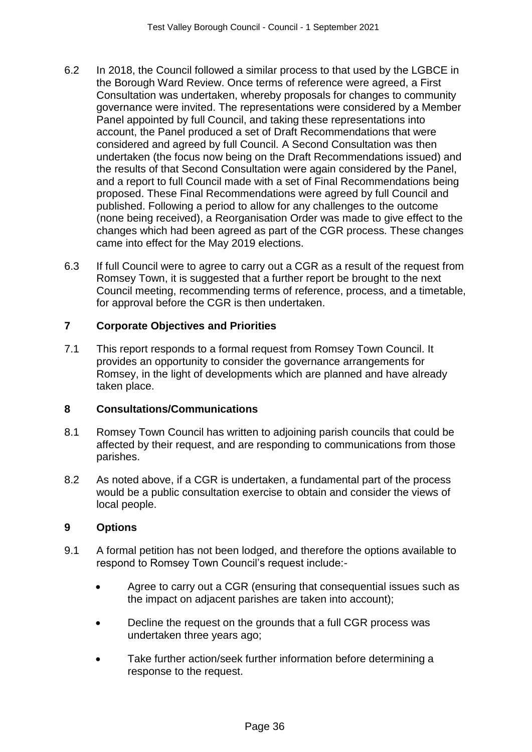- 6.2 In 2018, the Council followed a similar process to that used by the LGBCE in the Borough Ward Review. Once terms of reference were agreed, a First Consultation was undertaken, whereby proposals for changes to community governance were invited. The representations were considered by a Member Panel appointed by full Council, and taking these representations into account, the Panel produced a set of Draft Recommendations that were considered and agreed by full Council. A Second Consultation was then undertaken (the focus now being on the Draft Recommendations issued) and the results of that Second Consultation were again considered by the Panel, and a report to full Council made with a set of Final Recommendations being proposed. These Final Recommendations were agreed by full Council and published. Following a period to allow for any challenges to the outcome (none being received), a Reorganisation Order was made to give effect to the changes which had been agreed as part of the CGR process. These changes came into effect for the May 2019 elections.
- 6.3 If full Council were to agree to carry out a CGR as a result of the request from Romsey Town, it is suggested that a further report be brought to the next Council meeting, recommending terms of reference, process, and a timetable, for approval before the CGR is then undertaken.

# **7 Corporate Objectives and Priorities**

7.1 This report responds to a formal request from Romsey Town Council. It provides an opportunity to consider the governance arrangements for Romsey, in the light of developments which are planned and have already taken place.

# **8 Consultations/Communications**

- 8.1 Romsey Town Council has written to adjoining parish councils that could be affected by their request, and are responding to communications from those parishes.
- 8.2 As noted above, if a CGR is undertaken, a fundamental part of the process would be a public consultation exercise to obtain and consider the views of local people.

# **9 Options**

- 9.1 A formal petition has not been lodged, and therefore the options available to respond to Romsey Town Council's request include:-
	- Agree to carry out a CGR (ensuring that consequential issues such as the impact on adjacent parishes are taken into account);
	- Decline the request on the grounds that a full CGR process was undertaken three years ago;
	- Take further action/seek further information before determining a response to the request.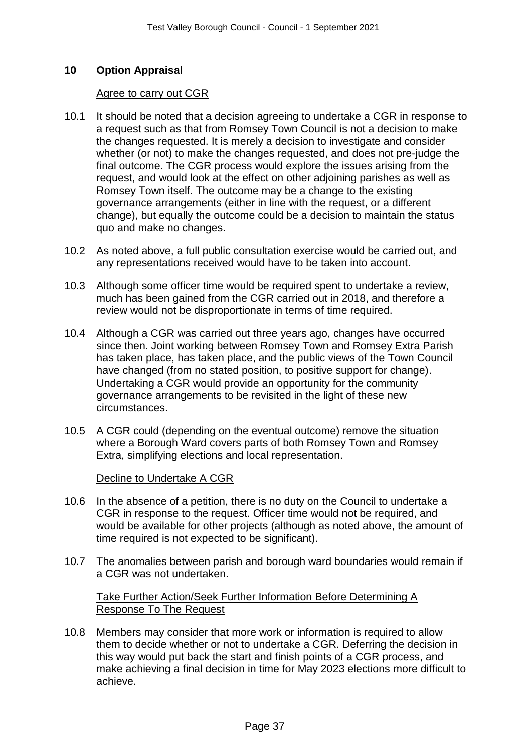# **10 Option Appraisal**

#### Agree to carry out CGR

- 10.1 It should be noted that a decision agreeing to undertake a CGR in response to a request such as that from Romsey Town Council is not a decision to make the changes requested. It is merely a decision to investigate and consider whether (or not) to make the changes requested, and does not pre-judge the final outcome. The CGR process would explore the issues arising from the request, and would look at the effect on other adjoining parishes as well as Romsey Town itself. The outcome may be a change to the existing governance arrangements (either in line with the request, or a different change), but equally the outcome could be a decision to maintain the status quo and make no changes.
- 10.2 As noted above, a full public consultation exercise would be carried out, and any representations received would have to be taken into account.
- 10.3 Although some officer time would be required spent to undertake a review, much has been gained from the CGR carried out in 2018, and therefore a review would not be disproportionate in terms of time required.
- 10.4 Although a CGR was carried out three years ago, changes have occurred since then. Joint working between Romsey Town and Romsey Extra Parish has taken place, has taken place, and the public views of the Town Council have changed (from no stated position, to positive support for change). Undertaking a CGR would provide an opportunity for the community governance arrangements to be revisited in the light of these new circumstances.
- 10.5 A CGR could (depending on the eventual outcome) remove the situation where a Borough Ward covers parts of both Romsey Town and Romsey Extra, simplifying elections and local representation.

Decline to Undertake A CGR

- 10.6 In the absence of a petition, there is no duty on the Council to undertake a CGR in response to the request. Officer time would not be required, and would be available for other projects (although as noted above, the amount of time required is not expected to be significant).
- 10.7 The anomalies between parish and borough ward boundaries would remain if a CGR was not undertaken.

Take Further Action/Seek Further Information Before Determining A Response To The Request

10.8 Members may consider that more work or information is required to allow them to decide whether or not to undertake a CGR. Deferring the decision in this way would put back the start and finish points of a CGR process, and make achieving a final decision in time for May 2023 elections more difficult to achieve.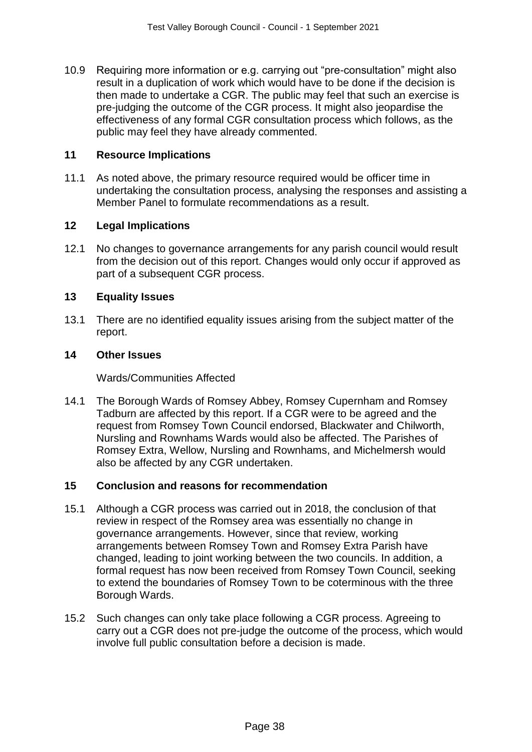10.9 Requiring more information or e.g. carrying out "pre-consultation" might also result in a duplication of work which would have to be done if the decision is then made to undertake a CGR. The public may feel that such an exercise is pre-judging the outcome of the CGR process. It might also jeopardise the effectiveness of any formal CGR consultation process which follows, as the public may feel they have already commented.

### **11 Resource Implications**

11.1 As noted above, the primary resource required would be officer time in undertaking the consultation process, analysing the responses and assisting a Member Panel to formulate recommendations as a result.

#### **12 Legal Implications**

12.1 No changes to governance arrangements for any parish council would result from the decision out of this report. Changes would only occur if approved as part of a subsequent CGR process.

#### **13 Equality Issues**

13.1 There are no identified equality issues arising from the subject matter of the report.

#### **14 Other Issues**

#### Wards/Communities Affected

14.1 The Borough Wards of Romsey Abbey, Romsey Cupernham and Romsey Tadburn are affected by this report. If a CGR were to be agreed and the request from Romsey Town Council endorsed, Blackwater and Chilworth, Nursling and Rownhams Wards would also be affected. The Parishes of Romsey Extra, Wellow, Nursling and Rownhams, and Michelmersh would also be affected by any CGR undertaken.

### **15 Conclusion and reasons for recommendation**

- 15.1 Although a CGR process was carried out in 2018, the conclusion of that review in respect of the Romsey area was essentially no change in governance arrangements. However, since that review, working arrangements between Romsey Town and Romsey Extra Parish have changed, leading to joint working between the two councils. In addition, a formal request has now been received from Romsey Town Council, seeking to extend the boundaries of Romsey Town to be coterminous with the three Borough Wards.
- 15.2 Such changes can only take place following a CGR process. Agreeing to carry out a CGR does not pre-judge the outcome of the process, which would involve full public consultation before a decision is made.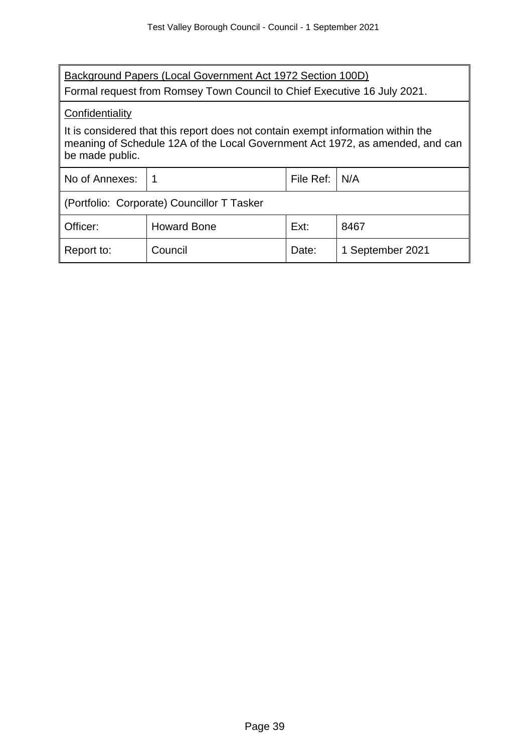| Background Papers (Local Government Act 1972 Section 100D)<br>Formal request from Romsey Town Council to Chief Executive 16 July 2021.                                               |                    |           |                  |
|--------------------------------------------------------------------------------------------------------------------------------------------------------------------------------------|--------------------|-----------|------------------|
| Confidentiality                                                                                                                                                                      |                    |           |                  |
| It is considered that this report does not contain exempt information within the<br>meaning of Schedule 12A of the Local Government Act 1972, as amended, and can<br>be made public. |                    |           |                  |
| No of Annexes:                                                                                                                                                                       | 1                  | File Ref: | N/A              |
| (Portfolio: Corporate) Councillor T Tasker                                                                                                                                           |                    |           |                  |
| Officer:                                                                                                                                                                             | <b>Howard Bone</b> | Ext:      | 8467             |
| Report to:                                                                                                                                                                           | Council            | Date:     | 1 September 2021 |